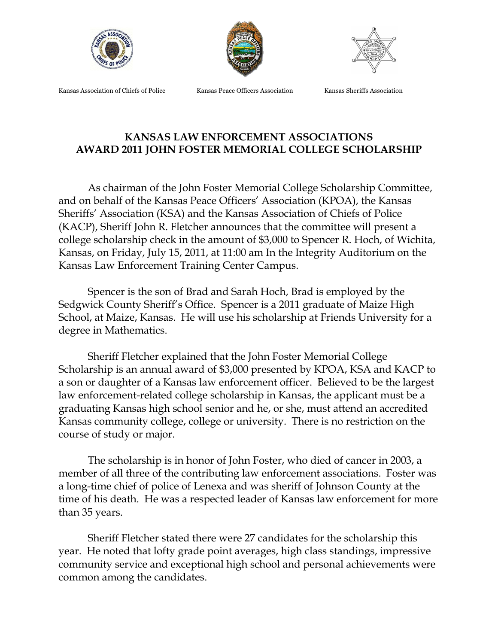





Kansas Association of Chiefs of Police Kansas Peace Officers Association Kansas Sheriffs Association

## **KANSAS LAW ENFORCEMENT ASSOCIATIONS AWARD 2011 JOHN FOSTER MEMORIAL COLLEGE SCHOLARSHIP**

As chairman of the John Foster Memorial College Scholarship Committee, and on behalf of the Kansas Peace Officers' Association (KPOA), the Kansas Sheriffs' Association (KSA) and the Kansas Association of Chiefs of Police (KACP), Sheriff John R. Fletcher announces that the committee will present a college scholarship check in the amount of \$3,000 to Spencer R. Hoch, of Wichita, Kansas, on Friday, July 15, 2011, at 11:00 am In the Integrity Auditorium on the Kansas Law Enforcement Training Center Campus.

Spencer is the son of Brad and Sarah Hoch, Brad is employed by the Sedgwick County Sheriff's Office. Spencer is a 2011 graduate of Maize High School, at Maize, Kansas. He will use his scholarship at Friends University for a degree in Mathematics.

Sheriff Fletcher explained that the John Foster Memorial College Scholarship is an annual award of \$3,000 presented by KPOA, KSA and KACP to a son or daughter of a Kansas law enforcement officer. Believed to be the largest law enforcement-related college scholarship in Kansas, the applicant must be a graduating Kansas high school senior and he, or she, must attend an accredited Kansas community college, college or university. There is no restriction on the course of study or major.

The scholarship is in honor of John Foster, who died of cancer in 2003, a member of all three of the contributing law enforcement associations. Foster was a long-time chief of police of Lenexa and was sheriff of Johnson County at the time of his death. He was a respected leader of Kansas law enforcement for more than 35 years.

Sheriff Fletcher stated there were 27 candidates for the scholarship this year. He noted that lofty grade point averages, high class standings, impressive community service and exceptional high school and personal achievements were common among the candidates.